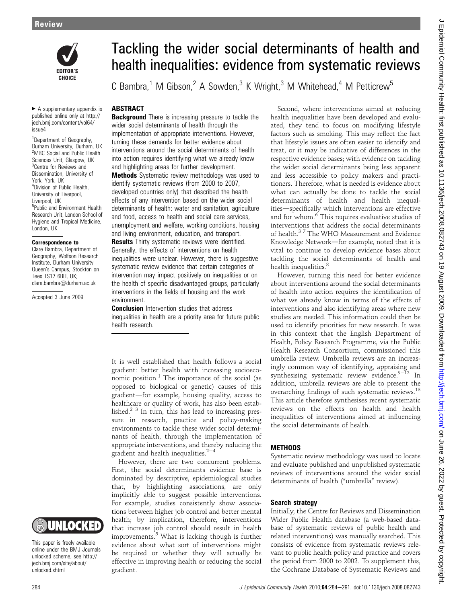

 $\blacktriangleright$  A supplementary appendix is published online only at http:// jech.bmj.com/content/vol64/ issue4

<sup>1</sup>Department of Geography, Durham University, Durham, UK <sup>2</sup>MRC Social and Public Health Sciences Unit, Glasgow, UK <sup>3</sup>Centre for Reviews and Dissemination, University of York, York, UK <sup>4</sup>Division of Public Health, University of Liverpool, Liverpool, UK 5 Public and Environment Health Research Unit, London School of Hygiene and Tropical Medicine, London, UK

#### Correspondence to

Clare Bambra, Department of Geography, Wolfson Research Institute, Durham University Queen's Campus, Stockton on Tees TS17 6BH, UK; clare.bambra@durham.ac.uk

Accepted 3 June 2009

# Tackling the wider social determinants of health and health inequalities: evidence from systematic reviews

C Bambra,<sup>1</sup> M Gibson,<sup>2</sup> A Sowden,<sup>3</sup> K Wright,<sup>3</sup> M Whitehead,<sup>4</sup> M Petticrew<sup>5</sup>

## ABSTRACT

**Background** There is increasing pressure to tackle the wider social determinants of health through the implementation of appropriate interventions. However, turning these demands for better evidence about interventions around the social determinants of health into action requires identifying what we already know and highlighting areas for further development. **Methods** Systematic review methodology was used to identify systematic reviews (from 2000 to 2007, developed countries only) that described the health effects of any intervention based on the wider social determinants of health: water and sanitation, agriculture and food, access to health and social care services, unemployment and welfare, working conditions, housing and living environment, education, and transport. **Results** Thirty systematic reviews were identified.

Generally, the effects of interventions on health inequalities were unclear. However, there is suggestive systematic review evidence that certain categories of intervention may impact positively on inequalities or on the health of specific disadvantaged groups, particularly interventions in the fields of housing and the work environment.

**Conclusion** Intervention studies that address inequalities in health are a priority area for future public health research.

It is well established that health follows a social gradient: better health with increasing socioeconomic position. $1$  The importance of the social (as opposed to biological or genetic) causes of this gradient-for example, housing quality, access to healthcare or quality of work, has also been established.2 3 In turn, this has lead to increasing pressure in research, practice and policy-making environments to tackle these wider social determinants of health, through the implementation of appropriate interventions, and thereby reducing the gradient and health inequalities. $2-4$ 

However, there are two concurrent problems. First, the social determinants evidence base is dominated by descriptive, epidemiological studies that, by highlighting associations, are only implicitly able to suggest possible interventions. For example, studies consistently show associations between higher job control and better mental health; by implication, therefore, interventions that increase job control should result in health improvements.<sup>5</sup> What is lacking though is further evidence about what sort of interventions might be required or whether they will actually be effective in improving health or reducing the social gradient.

Second, where interventions aimed at reducing health inequalities have been developed and evaluated, they tend to focus on modifying lifestyle factors such as smoking. This may reflect the fact that lifestyle issues are often easier to identify and treat, or it may be indicative of differences in the respective evidence bases; with evidence on tackling the wider social determinants being less apparent and less accessible to policy makers and practitioners. Therefore, what is needed is evidence about what can actually be done to tackle the social determinants of health and health inequalities-specifically which interventions are effective and for whom.<sup>6</sup> This requires evaluative studies of interventions that address the social determinants of health.<sup>37</sup> The WHO Measurement and Evidence Knowledge Network-for example, noted that it is vital to continue to develop evidence bases about tackling the social determinants of health and health inequalities.<sup>8</sup>

However, turning this need for better evidence about interventions around the social determinants of health into action requires the identification of what we already know in terms of the effects of interventions and also identifying areas where new studies are needed. This information could then be used to identify priorities for new research. It was in this context that the English Department of Health, Policy Research Programme, via the Public Health Research Consortium, commissioned this umbrella review. Umbrella reviews are an increasingly common way of identifying, appraising and synthesising systematic review evidence. $9-12$  In addition, umbrella reviews are able to present the overarching findings of such systematic reviews.<sup>13</sup> This article therefore synthesises recent systematic reviews on the effects on health and health inequalities of interventions aimed at influencing the social determinants of health.

## **METHODS**

Systematic review methodology was used to locate and evaluate published and unpublished systematic reviews of interventions around the wider social determinants of health ("umbrella" review).

#### Search strategy

Initially, the Centre for Reviews and Dissemination Wider Public Health database (a web-based database of systematic reviews of public health and related interventions) was manually searched. This consists of evidence from systematic reviews relevant to public health policy and practice and covers the period from 2000 to 2002. To supplement this, the Cochrane Database of Systematic Reviews and

UNIOCKED

This paper is freely available online under the BMJ Journals unlocked scheme, see http:// jech.bmj.com/site/about/ unlocked.xhtml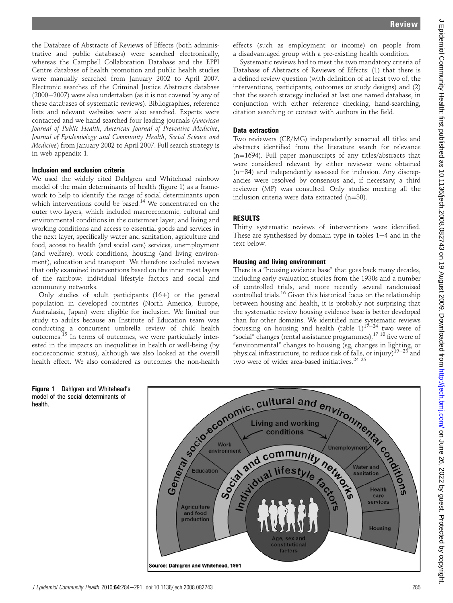the Database of Abstracts of Reviews of Effects (both administrative and public databases) were searched electronically, whereas the Campbell Collaboration Database and the EPPI Centre database of health promotion and public health studies were manually searched from January 2002 to April 2007. Electronic searches of the Criminal Justice Abstracts database  $(2000-2007)$  were also undertaken (as it is not covered by any of these databases of systematic reviews). Bibliographies, reference lists and relevant websites were also searched. Experts were contacted and we hand searched four leading journals (American Journal of Public Health, American Journal of Preventive Medicine, Journal of Epidemiology and Community Health, Social Science and Medicine) from January 2002 to April 2007. Full search strategy is in web appendix 1.

## Inclusion and exclusion criteria

We used the widely cited Dahlgren and Whitehead rainbow model of the main determinants of health (figure 1) as a framework to help to identify the range of social determinants upon which interventions could be based.<sup>14</sup> We concentrated on the outer two layers, which included macroeconomic, cultural and environmental conditions in the outermost layer; and living and working conditions and access to essential goods and services in the next layer, specifically water and sanitation, agriculture and food, access to health (and social care) services, unemployment (and welfare), work conditions, housing (and living environment), education and transport. We therefore excluded reviews that only examined interventions based on the inner most layers of the rainbow: individual lifestyle factors and social and community networks.

Only studies of adult participants (16+) or the general population in developed countries (North America, Europe, Australasia, Japan) were eligible for inclusion. We limited our study to adults because an Institute of Education team was conducting a concurrent umbrella review of child health outcomes.<sup>15</sup> In terms of outcomes, we were particularly interested in the impacts on inequalities in health or well-being (by socioeconomic status), although we also looked at the overall health effect. We also considered as outcomes the non-health

effects (such as employment or income) on people from a disadvantaged group with a pre-existing health condition.

Systematic reviews had to meet the two mandatory criteria of Database of Abstracts of Reviews of Effects: (1) that there is a defined review question (with definition of at least two of, the interventions, participants, outcomes or study designs) and (2) that the search strategy included at last one named database, in conjunction with either reference checking, hand-searching, citation searching or contact with authors in the field.

#### Data extraction

Two reviewers (CB/MG) independently screened all titles and abstracts identified from the literature search for relevance  $(n=1694)$ . Full paper manuscripts of any titles/abstracts that were considered relevant by either reviewer were obtained  $(n=84)$  and independently assessed for inclusion. Any discrepancies were resolved by consensus and, if necessary, a third reviewer (MP) was consulted. Only studies meeting all the inclusion criteria were data extracted  $(n=30)$ .

## RESULTS

Thirty systematic reviews of interventions were identified. These are synthesised by domain type in tables  $1-4$  and in the text below.

## Housing and living environment

There is a "housing evidence base" that goes back many decades, including early evaluation studies from the 1930s and a number of controlled trials, and more recently several randomised controlled trials.<sup>16</sup> Given this historical focus on the relationship between housing and health, it is probably not surprising that the systematic review housing evidence base is better developed than for other domains. We identified nine systematic reviews focussing on housing and health (table  $1$ )<sup>17-24</sup> two were of "social" changes (rental assistance programmes),17 18 five were of "environmental" changes to housing (eg, changes in lighting, or physical infrastructure, to reduce risk of falls, or injury)<sup>19-23</sup> and two were of wider area-based initiatives.<sup>24 25</sup>

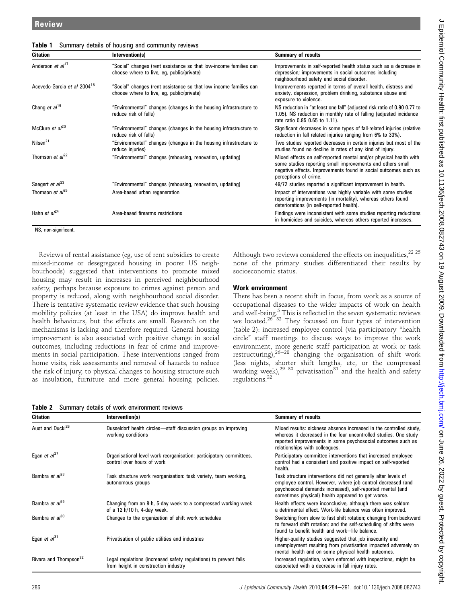| <b>Citation</b>                         | Intervention(s)                                                                                                | <b>Summary of results</b>                                                                                                                                                                                                   |
|-----------------------------------------|----------------------------------------------------------------------------------------------------------------|-----------------------------------------------------------------------------------------------------------------------------------------------------------------------------------------------------------------------------|
| Anderson et al <sup>17</sup>            | "Social" changes (rent assistance so that low-income families can<br>choose where to live, eg, public/private) | Improvements in self-reported health status such as a decrease in<br>depression; improvements in social outcomes including<br>neighbourhood safety and social disorder.                                                     |
| Acevedo-Garcia et al 2004 <sup>18</sup> | "Social" changes (rent assistance so that low income families can<br>choose where to live, eg, public/private) | Improvements reported in terms of overall health, distress and<br>anxiety, depression, problem drinking, substance abuse and<br>exposure to violence.                                                                       |
| Chang et $al19$                         | "Environmental" changes (changes in the housing infrastructure to<br>reduce risk of falls)                     | NS reduction in "at least one fall" (adjusted risk ratio of 0.90 0.77 to<br>1.05). NS reduction in monthly rate of falling (adjusted incidence<br>rate ratio 0.85 0.65 to 1.11).                                            |
| McClure et $al^{20}$                    | "Environmental" changes (changes in the housing infrastructure to<br>reduce risk of falls)                     | Significant decreases in some types of fall-related injuries (relative<br>reduction in fall related injuries ranging from 6% to 33%).                                                                                       |
| Nilsen <sup>21</sup>                    | "Environmental" changes (changes in the housing infrastructure to<br>reduce injuries)                          | Two studies reported decreases in certain injuries but most of the<br>studies found no decline in rates of any kind of injury.                                                                                              |
| Thomson et $al^{22}$                    | "Environmental" changes (rehousing, renovation, updating)                                                      | Mixed effects on self-reported mental and/or physical health with<br>some studies reporting small improvements and others small<br>negative effects. Improvements found in social outcomes such as<br>perceptions of crime. |
| Saegert et al <sup>23</sup>             | "Environmental" changes (rehousing, renovation, updating)                                                      | 49/72 studies reported a significant improvement in health.                                                                                                                                                                 |
| Thomson et $al^{25}$                    | Area-based urban regeneration                                                                                  | Impact of interventions was highly variable with some studies<br>reporting improvements (in mortality), whereas others found<br>deteriorations (in self-reported health).                                                   |
| Hahn et $al^{24}$                       | Area-based firearms restrictions                                                                               | Findings were inconsistent with some studies reporting reductions<br>in homicides and suicides, whereas others reported increases.                                                                                          |

Table 1 Summary details of housing and community reviews

NS, non-significant.

Reviews of rental assistance (eg, use of rent subsidies to create mixed-income or desegregated housing in poorer US neighbourhoods) suggested that interventions to promote mixed housing may result in increases in perceived neighbourhood safety, perhaps because exposure to crimes against person and property is reduced, along with neighbourhood social disorder. There is tentative systematic review evidence that such housing mobility policies (at least in the USA) do improve health and health behaviours, but the effects are small. Research on the mechanisms is lacking and therefore required. General housing improvement is also associated with positive change in social outcomes, including reductions in fear of crime and improvements in social participation. These interventions ranged from home visits, risk assessments and removal of hazards to reduce the risk of injury, to physical changes to housing structure such as insulation, furniture and more general housing policies.

Although two reviews considered the effects on inequalities, $^{22}$   $^{25}$ none of the primary studies differentiated their results by socioeconomic status.

#### Work environment

There has been a recent shift in focus, from work as a source of occupational diseases to the wider impacts of work on health and well-being.<sup>5</sup> This is reflected in the seven systematic reviews we located. $26\overline{32}$  They focussed on four types of intervention (table 2): increased employee control (via participatory "health circle" staff meetings to discuss ways to improve the work environment, more generic staff participation at work or task<br>restructuring),  $26-28$  changing the organisation of shift work (less nights, shorter shift lengths, etc, or the compressed working week), $2930$  privatisation<sup>31</sup> and the health and safety regulations.<sup>32</sup>

| <b>Table 2</b> Summary details of work environment reviews |
|------------------------------------------------------------|
|------------------------------------------------------------|

| <b>Citation</b>                   | Intervention(s)                                                                                           | <b>Summary of results</b>                                                                                                                                                                                                                        |
|-----------------------------------|-----------------------------------------------------------------------------------------------------------|--------------------------------------------------------------------------------------------------------------------------------------------------------------------------------------------------------------------------------------------------|
| Aust and Ducki <sup>26</sup>      | Dusseldorf health circles-staff discussion groups on improving<br>working conditions                      | Mixed results: sickness absence increased in the controlled study,<br>whereas it decreased in the four uncontrolled studies. One study<br>reported improvements in some psychosocial outcomes such as<br>relationships with colleagues.          |
| Egan et $al27$                    | Organisational-level work reorganisation: participatory committees,<br>control over hours of work         | Participatory committee interventions that increased employee<br>control had a consistent and positive impact on self-reported<br>health.                                                                                                        |
| Bambra et al <sup>28</sup>        | Task structure work reorganisation: task variety, team working,<br>autonomous groups                      | Task structure interventions did not generally alter levels of<br>employee control. However, where job control decreased (and<br>psychosocial demands increased), self-reported mental (and<br>sometimes physical) health appeared to get worse. |
| Bambra et al <sup>29</sup>        | Changing from an 8-h, 5-day week to a compressed working week<br>of a 12 h/10 h, 4-day week.              | Health effects were inconclusive, although there was seldom<br>a detrimental effect. Work-life balance was often improved.                                                                                                                       |
| Bambra et al <sup>30</sup>        | Changes to the organization of shift work schedules                                                       | Switching from slow to fast shift rotation; changing from backward<br>to forward shift rotation; and the self-scheduling of shifts were<br>found to benefit health and work-life balance.                                                        |
| Egan et $a^{31}$                  | Privatisation of public utilities and industries                                                          | Higher-quality studies suggested that job insecurity and<br>unemployment resulting from privatisation impacted adversely on<br>mental health and on some physical health outcomes.                                                               |
| Rivara and Thompson <sup>32</sup> | Legal regulations (increased safety regulations) to prevent falls<br>from height in construction industry | Increased regulation, when enforced with inspections, might be<br>associated with a decrease in fall injury rates.                                                                                                                               |

 $\epsilon$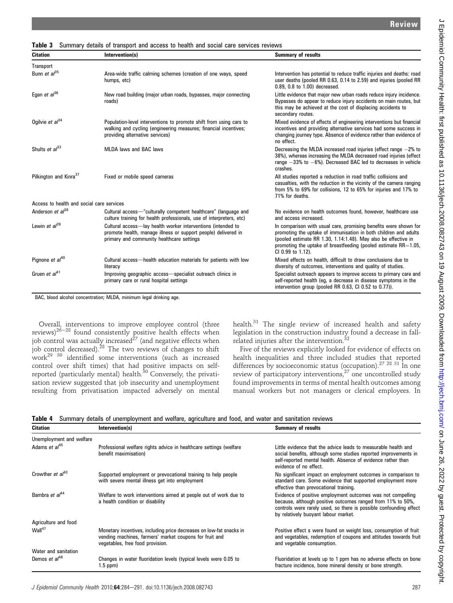Citation **Intervention(s)** Citation Summary of results **Transport** Bunn et  $a^{35}$  Area-wide traffic calming schemes (creation of one ways, speed humps, etc) Intervention has potential to reduce traffic injuries and deaths: road user deaths (pooled RR 0.63, 0.14 to 2.59) and injuries (pooled RR 0.89, 0.8 to 1.00) decreased. Egan et  $a^{j36}$  New road building (major urban roads, bypasses, major connecting roads) Little evidence that major new urban roads reduce injury incidence. Bypasses do appear to reduce injury accidents on main routes, but this may be achieved at the cost of displacing accidents to secondary routes. Ogilvie et  $a^{34}$  Population-level interventions to promote shift from using cars to walking and cycling (engineering measures; financial incentives; providing alternative services) Mixed evidence of effects of engineering interventions but financial incentives and providing alternative services had some success in changing journey type. Absence of evidence rather than evidence of no effect. Shults et  $a^{33}$  MLDA laws and BAC laws **Decreasing the MLDA** increased road injuries (effect range  $-2\%$  to 38%), whereas increasing the MLDA decreased road injuries (effect range  $-33\%$  to  $-6\%$ ). Decreased BAC led to decreases in vehicle crashes. Pilkington and Kinra<sup>37</sup> Fixed or mobile speed cameras All studies reported a reduction in road traffic collisions and casualties, with the reduction in the vicinity of the camera ranging from 5% to 69% for collisions, 12 to 65% for injuries and 17% to 71% for deaths. Access to health and social care services Anderson et  $a^{38}$  Cultural access—"culturally competent healthcare" (language and culture training for health professionals, use of interpreters, etc) No evidence on health outcomes found, however, healthcare use and access increased. Lewin et  $a^{39}$  Cultural access—lay health worker interventions (intended to promote health, manage illness or support people) delivered in primary and community healthcare settings In comparison with usual care, promising benefits were shown for promoting the uptake of immunisation in both children and adults (pooled estimate RR 1.30, 1.14:1.48). May also be effective in promoting the uptake of breastfeeding (pooled estimate  $RR=1.05$ , CI 0.99 to 1.12). Pignone et  $a^{40}$  Cultural access—health education materials for patients with low literacy Mixed effects on health, difficult to draw conclusions due to diversity of outcomes, interventions and quality of studies. Gruen et al<sup>41</sup> Improving geographic access—specialist outreach clinics in primary care or rural hospital settings Specialist outreach appears to improve access to primary care and self-reported health (eg, a decrease in disease symptoms in the intervention group (pooled RR 0.63, CI 0.52 to 0.77)).

Table 3 Summary details of transport and access to health and social care services reviews

BAC, blood alcohol concentration; MLDA, minimum legal drinking age.

Overall, interventions to improve employee control (three reviews)<sup>26–28</sup> found consistently positive health effects when job control was actually increased $^{27}$  (and negative effects when job control decreased).<sup>28</sup> The two reviews of changes to shift work29 30 identified some interventions (such as increased control over shift times) that had positive impacts on selfreported (particularly mental) health.<sup>30</sup> Conversely, the privatisation review suggested that job insecurity and unemployment resulting from privatisation impacted adversely on mental

health. $31$  The single review of increased health and safety legislation in the construction industry found a decrease in fallrelated injuries after the intervention.<sup>32</sup>

Five of the reviews explicitly looked for evidence of effects on health inequalities and three included studies that reported differences by socioeconomic status (occupation).<sup>27 28 31</sup> In one review of participatory interventions,  $27$  one uncontrolled study found improvements in terms of mental health outcomes among manual workers but not managers or clerical employees. In

|  |  | Table 4 Summary details of unemployment and welfare, agriculture and food, and water and sanitation reviews |  |  |  |  |  |
|--|--|-------------------------------------------------------------------------------------------------------------|--|--|--|--|--|
|--|--|-------------------------------------------------------------------------------------------------------------|--|--|--|--|--|

| <b>Citation</b>                  | Intervention(s)                                                                                                                                                    | <b>Summary of results</b>                                                                                                                                                                                                                |
|----------------------------------|--------------------------------------------------------------------------------------------------------------------------------------------------------------------|------------------------------------------------------------------------------------------------------------------------------------------------------------------------------------------------------------------------------------------|
| Unemployment and welfare         |                                                                                                                                                                    |                                                                                                                                                                                                                                          |
| Adams <i>et al</i> <sup>45</sup> | Professional welfare rights advice in healthcare settings (welfare<br>benefit maximisation)                                                                        | Little evidence that the advice leads to measurable health and<br>social benefits, although some studies reported improvements in<br>self-reported mental health. Absence of evidence rather than<br>evidence of no effect.              |
| Crowther et al <sup>43</sup>     | Supported employment or prevocational training to help people<br>with severe mental illness get into employment                                                    | No significant impact on employment outcomes in comparison to<br>standard care. Some evidence that supported employment more<br>effective than prevocational training.                                                                   |
| Bambra et al <sup>44</sup>       | Welfare to work interventions aimed at people out of work due to<br>a health condition or disability                                                               | Evidence of positive employment outcomes was not compelling<br>because, although positive outcomes ranged from 11% to 50%,<br>controls were rarely used, so there is possible confounding effect<br>by relatively buoyant labour market. |
| Agriculture and food             |                                                                                                                                                                    |                                                                                                                                                                                                                                          |
| Wall <sup>47</sup>               | Monetary incentives, including price decreases on low-fat snacks in<br>vending machines, farmers' market coupons for fruit and<br>vegetables, free food provision. | Positive effect s were found on weight loss, consumption of fruit<br>and vegetables, redemption of coupons and attitudes towards fruit<br>and vegetable consumption.                                                                     |
| Water and sanitation             |                                                                                                                                                                    |                                                                                                                                                                                                                                          |
| Demos et $a^{48}$                | Changes in water fluoridation levels (typical levels were 0.05 to<br>$1.5$ ppm $)$                                                                                 | Fluoridation at levels up to 1 ppm has no adverse effects on bone<br>fracture incidence, bone mineral density or bone strength.                                                                                                          |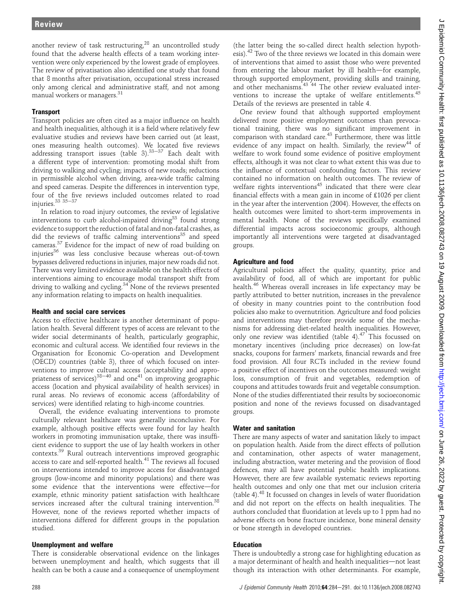another review of task restructuring, $^{28}$  an uncontrolled study found that the adverse health effects of a team working intervention were only experienced by the lowest grade of employees. The review of privatisation also identified one study that found that 8 months after privatisation, occupational stress increased only among clerical and administrative staff, and not among manual workers or managers.<sup>31</sup>

## **Transport**

Transport policies are often cited as a major influence on health and health inequalities, although it is a field where relatively few evaluative studies and reviews have been carried out (at least, ones measuring health outcomes). We located five reviews addressing transport issues (table 3).  $33-37$  Each dealt with a different type of intervention: promoting modal shift from driving to walking and cycling; impacts of new roads; reductions in permissible alcohol when driving, area-wide traffic calming and speed cameras. Despite the differences in intervention type, four of the five reviews included outcomes related to road injuries. $33335 - 37$ 

In relation to road injury outcomes, the review of legislative interventions to curb alcohol-impaired driving<sup>33</sup> found strong evidence to support the reduction of fatal and non-fatal crashes, as did the reviews of traffic calming interventions<sup>35</sup> and speed cameras.<sup>37</sup> Evidence for the impact of new of road building on injuries<sup>36</sup> was less conclusive because whereas out-of-town bypasses delivered reductions in injuries, major new roads did not. There was very limited evidence available on the health effects of interventions aiming to encourage modal transport shift from driving to walking and cycling.<sup>34</sup> None of the reviews presented any information relating to impacts on health inequalities.

## Health and social care services

Access to effective healthcare is another determinant of population health. Several different types of access are relevant to the wider social determinants of health, particularly geographic, economic and cultural access. We identified four reviews in the Organisation for Economic Co-operation and Development (OECD) countries (table 3), three of which focused on interventions to improve cultural access (acceptability and appro-<br>priateness of services)<sup>38–40</sup> and one<sup>41</sup> on improving geographic access (location and physical availability of health services) in rural areas. No reviews of economic access (affordability of services) were identified relating to high-income countries.

Overall, the evidence evaluating interventions to promote culturally relevant healthcare was generally inconclusive. For example, although positive effects were found for lay health workers in promoting immunisation uptake, there was insufficient evidence to support the use of lay health workers in other contexts.39 Rural outreach interventions improved geographic access to care and self-reported health.<sup>41</sup> The reviews all focused on interventions intended to improve access for disadvantaged groups (low-income and minority populations) and there was some evidence that the interventions were effective-for example, ethnic minority patient satisfaction with healthcare services increased after the cultural training intervention.<sup>38</sup> However, none of the reviews reported whether impacts of interventions differed for different groups in the population studied.

# Unemployment and welfare

There is considerable observational evidence on the linkages between unemployment and health, which suggests that ill health can be both a cause and a consequence of unemployment

(the latter being the so-called direct health selection hypothesis).<sup>42</sup> Two of the three reviews we located in this domain were of interventions that aimed to assist those who were prevented from entering the labour market by ill health-for example, through supported employment, providing skills and training, and other mechanisms.<sup>43 44</sup> The other review evaluated interventions to increase the uptake of welfare entitlements.<sup>45</sup> Details of the reviews are presented in table 4.

One review found that although supported employment delivered more positive employment outcomes than prevocational training, there was no significant improvement in comparison with standard care.<sup>43</sup> Furthermore, there was little evidence of any impact on health. Similarly, the review<sup>44</sup> of welfare to work found some evidence of positive employment effects, although it was not clear to what extent this was due to the influence of contextual confounding factors. This review contained no information on health outcomes. The review of welfare rights interventions<sup>45</sup> indicated that there were clear financial effects with a mean gain in income of £1026 per client in the year after the intervention (2004). However, the effects on health outcomes were limited to short-term improvements in mental health. None of the reviews specifically examined differential impacts across socioeconomic groups, although importantly all interventions were targeted at disadvantaged groups.

# Agriculture and food

Agricultural policies affect the quality, quantity, price and availability of food, all of which are important for public health.<sup>46</sup> Whereas overall increases in life expectancy may be partly attributed to better nutrition, increases in the prevalence of obesity in many countries point to the contribution food policies also make to overnutrition. Agriculture and food policies and interventions may therefore provide some of the mechanisms for addressing diet-related health inequalities. However, only one review was identified (table 4). $47$  This focussed on monetary incentives (including price decreases) on low-fat snacks, coupons for farmers' markets, financial rewards and free food provision. All four RCTs included in the review found a positive effect of incentives on the outcomes measured: weight loss, consumption of fruit and vegetables, redemption of coupons and attitudes towards fruit and vegetable consumption. None of the studies differentiated their results by socioeconomic position and none of the reviews focussed on disadvantaged groups.

## Water and sanitation

There are many aspects of water and sanitation likely to impact on population health. Aside from the direct effects of pollution and contamination, other aspects of water management, including abstraction, water metering and the provision of flood defences, may all have potential public health implications. However, there are few available systematic reviews reporting health outcomes and only one that met our inclusion criteria (table 4).<sup>48</sup> It focussed on changes in levels of water fluoridation and did not report on the effects on health inequalities. The authors concluded that fluoridation at levels up to 1 ppm had no adverse effects on bone fracture incidence, bone mineral density or bone strength in developed countries.

# Education

There is undoubtedly a strong case for highlighting education as a major determinant of health and health inequalities—not least though its interaction with other determinants. For example,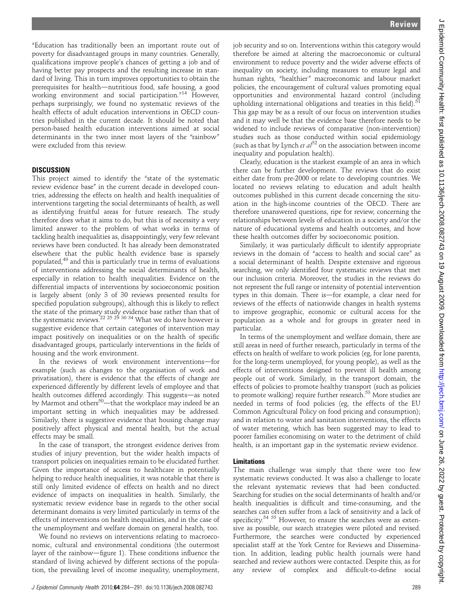"Education has traditionally been an important route out of poverty for disadvantaged groups in many countries. Generally, qualifications improve people's chances of getting a job and of having better pay prospects and the resulting increase in standard of living. This in turn improves opportunities to obtain the prerequisites for health-nutritious food, safe housing, a good working environment and social participation." <sup>14</sup> However, perhaps surprisingly, we found no systematic reviews of the health effects of adult education interventions in OECD countries published in the current decade. It should be noted that person-based health education interventions aimed at social determinants in the two inner most layers of the "rainbow" were excluded from this review.

#### **DISCUSSION**

This project aimed to identify the "state of the systematic review evidence base" in the current decade in developed countries, addressing the effects on health and health inequalities of interventions targeting the social determinants of health, as well as identifying fruitful areas for future research. The study therefore does what it aims to do, but this is of necessity a very limited answer to the problem of what works in terms of tackling health inequalities as, disappointingly, very few relevant reviews have been conducted. It has already been demonstrated elsewhere that the public health evidence base is sparsely populated,<sup>49</sup> and this is particularly true in terms of evaluations of interventions addressing the social determinants of health, especially in relation to health inequalities. Evidence on the differential impacts of interventions by socioeconomic position is largely absent (only 3 of 30 reviews presented results for specified population subgroups), although this is likely to reflect the state of the primary study evidence base rather than that of the systematic reviews. $^{22}$   $^{25}$   $^{29}$   $^{30}$   $^{34}$  What we do have however is suggestive evidence that certain categories of intervention may impact positively on inequalities or on the health of specific disadvantaged groups, particularly interventions in the fields of housing and the work environment.

In the reviews of work environment interventions-for example (such as changes to the organisation of work and privatisation), there is evidence that the effects of change are experienced differently by different levels of employee and that health outcomes differed accordingly. This suggests—as noted by Marmot and others<sup>50</sup>—that the workplace may indeed be an important setting in which inequalities may be addressed. Similarly, there is suggestive evidence that housing change may positively affect physical and mental health, but the actual effects may be small.

In the case of transport, the strongest evidence derives from studies of injury prevention, but the wider health impacts of transport policies on inequalities remain to be elucidated further. Given the importance of access to healthcare in potentially helping to reduce health inequalities, it was notable that there is still only limited evidence of effects on health and no direct evidence of impacts on inequalities in health. Similarly, the systematic review evidence base in regards to the other social determinant domains is very limited particularly in terms of the effects of interventions on health inequalities, and in the case of the unemployment and welfare domain on general health, too.

We found no reviews on interventions relating to macroeconomic, cultural and environmental conditions (the outermost layer of the rainbow-figure 1). These conditions influence the standard of living achieved by different sections of the population, the prevailing level of income inequality, unemployment, job security and so on. Interventions within this category would therefore be aimed at altering the macroeconomic or cultural environment to reduce poverty and the wider adverse effects of inequality on society, including measures to ensure legal and human rights, "healthier" macroeconomic and labour market policies, the encouragement of cultural values promoting equal opportunities and environmental hazard control (including upholding international obligations and treaties in this field).<sup>51</sup> This gap may be as a result of our focus on intervention studies and it may well be that the evidence base therefore needs to be widened to include reviews of comparative (non-intervention) studies such as those conducted within social epidemiology (such as that by Lynch et  $a l^{52}$  on the association between income inequality and population health).

Clearly, education is the starkest example of an area in which there can be further development. The reviews that do exist either date from pre-2000 or relate to developing countries. We located no reviews relating to education and adult health outcomes published in this current decade concerning the situation in the high-income countries of the OECD. There are therefore unanswered questions, ripe for review, concerning the relationships between levels of education in a society and/or the nature of educational systems and health outcomes, and how these health outcomes differ by socioeconomic position.

Similarly, it was particularly difficult to identify appropriate reviews in the domain of "access to health and social care" as a social determinant of health. Despite extensive and rigorous searching, we only identified four systematic reviews that met our inclusion criteria. Moreover, the studies in the reviews do not represent the full range or intensity of potential intervention types in this domain. There is—for example, a clear need for reviews of the effects of nationwide changes in health systems to improve geographic, economic or cultural access for the population as a whole and for groups in greater need in particular.

In terms of the unemployment and welfare domain, there are still areas in need of further research, particularly in terms of the effects on health of welfare to work policies (eg, for lone parents, for the long-term unemployed, for young people), as well as the effects of interventions designed to prevent ill health among people out of work. Similarly, in the transport domain, the effects of policies to promote healthy transport (such as policies to promote walking) require further research.<sup>53</sup> More studies are needed in terms of food policies (eg, the effects of the EU Common Agricultural Policy on food pricing and consumption); and in relation to water and sanitation interventions, the effects of water metering, which has been suggested may to lead to poorer families economising on water to the detriment of child health, is an important gap in the systematic review evidence.

#### Limitations

The main challenge was simply that there were too few systematic reviews conducted. It was also a challenge to locate the relevant systematic reviews that had been conducted. Searching for studies on the social determinants of health and/or health inequalities is difficult and time-consuming, and the searches can often suffer from a lack of sensitivity and a lack of specificity.<sup>54 55</sup> However, to ensure the searches were as extensive as possible, our search strategies were piloted and revised. Furthermore, the searches were conducted by experienced specialist staff at the York Centre for Reviews and Dissemination. In addition, leading public health journals were hand searched and review authors were contacted. Despite this, as for any review of complex and difficult-to-define social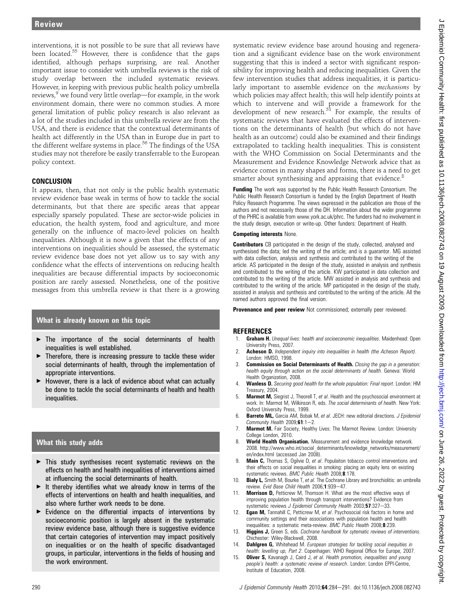interventions, it is not possible to be sure that all reviews have been located.<sup>55</sup> However, there is confidence that the gaps identified, although perhaps surprising, are real. Another important issue to consider with umbrella reviews is the risk of study overlap between the included systematic reviews. However, in keeping with previous public health policy umbrella reviews,  $9$  we found very little overlap—for example, in the work environment domain, there were no common studies. A more general limitation of public policy research is also relevant as a lot of the studies included in this umbrella review are from the USA, and there is evidence that the contextual determinants of health act differently in the USA than in Europe due in part to the different welfare systems in place.<sup>56</sup> The findings of the USA studies may not therefore be easily transferrable to the European policy context.

## CONCLUSION

It appears, then, that not only is the public health systematic review evidence base weak in terms of how to tackle the social determinants, but that there are specific areas that appear especially sparsely populated. These are sector-wide policies in education, the health system, food and agriculture, and more generally on the influence of macro-level policies on health inequalities. Although it is now a given that the effects of any interventions on inequalities should be assessed, the systematic review evidence base does not yet allow us to say with any confidence what the effects of interventions on reducing health inequalities are because differential impacts by socioeconomic position are rarely assessed. Nonetheless, one of the positive messages from this umbrella review is that there is a growing

## What is already known on this topic

- $\blacktriangleright$  The importance of the social determinants of health inequalities is well established.
- $\blacktriangleright$  Therefore, there is increasing pressure to tackle these wider social determinants of health, through the implementation of appropriate interventions.
- $\blacktriangleright$  However, there is a lack of evidence about what can actually be done to tackle the social determinants of health and health inequalities.

# What this study adds

- $\blacktriangleright$  This study synthesises recent systematic reviews on the effects on health and health inequalities of interventions aimed at influencing the social determinants of health.
- $\blacktriangleright$  It thereby identifies what we already know in terms of the effects of interventions on health and health inequalities, and also where further work needs to be done.
- $\blacktriangleright$  Evidence on the differential impacts of interventions by socioeconomic position is largely absent in the systematic review evidence base, although there is suggestive evidence that certain categories of intervention may impact positively on inequalities or on the health of specific disadvantaged groups, in particular, interventions in the fields of housing and the work environment.

systematic review evidence base around housing and regeneration and a significant evidence base on the work environment suggesting that this is indeed a sector with significant responsibility for improving health and reducing inequalities. Given the few intervention studies that address inequalities, it is particularly important to assemble evidence on the mechanisms by which policies may affect health; this will help identify points at which to intervene and will provide a framework for the development of new research. $5^1$  For example, the results of systematic reviews that have evaluated the effects of interventions on the determinants of health (but which do not have health as an outcome) could also be examined and their findings extrapolated to tackling health inequalities. This is consistent with the WHO Commission on Social Determinants and the Measurement and Evidence Knowledge Network advice that as evidence comes in many shapes and forms, there is a need to get smarter about synthesising and appraising that evidence.<sup>8</sup>

**Funding** The work was supported by the Public Health Research Consortium. The Public Health Research Consortium is funded by the English Department of Health Policy Research Programme. The views expressed in the publication are those of the authors and not necessarily those of the DH. Information about the wider programme of the PHRC is available from www.york.ac.uk/phrc. The funders had no involvement in the study design, execution or write-up. Other funders: Department of Health.

#### Competing interests None.

**Contributors** CB participated in the design of the study, collected, analysed and synthesised the data; led the writing of the article; and is a guarantor. MG assisted with data collection, analysis and synthesis and contributed to the writing of the article. AS participated in the design of the study, assisted in analysis and synthesis and contributed to the writing of the article. KW participated in data collection and contributed to the writing of the article. MW assisted in analysis and synthesis and contributed to the writing of the article. MP participated in the design of the study, assisted in analysis and synthesis and contributed to the writing of the article. All the named authors approved the final version.

**Provenance and peer review** Not commissioned; externally peer reviewed.

## REFERENCES

- 1. Graham H. Unequal lives: health and socioeconomic inequalities. Maidenhead: Open University Press, 2007.
- Acheson D. Independent inquiry into inequalities in health (the Acheson Report). London: HMSO, 1998.
- 3. **Commission on Social Determinants of Health.** Closing the gap in a generation: health equity through action on the social determinants of health. Geneva: World Health Organization, 2008.
- 4. **Wanless D.** Securing good health for the whole population: Final report. London: HM Treasury, 2004.
- 5. **Marmot M,** Siegrist J, Theorell T, et al. Health and the psychosocial environment at work. In: Marmot M, Wilkinson R, eds. The social determinants of health. New York: Oxford University Press, 1999.
- 6. Barreto ML, Garcia AM, Bobak M, et al. JECH: new editorial directions. J Epidemiol Community Health  $2009;61:1-2$ .
- 7. Marmot M. Fair Society, Healthy Lives: The Marmot Review. London: University College London, 2010.
- 8. World Health Organisation. Measurement and evidence knowledge network. 2008. http://www.who.int/social\_determinants/knowledge\_networks/measurement/ en/index.html (accessed Jan 2008).
- 9. **Main C,** Thomas S, Ogilvie D, et al. Populaiton tobacco control interventions and their effects on social inequalities in smoking: placing an equity lens on existing systematic reviews. BMC Public Health 2008:8:178.
- **Bialy L,** Smith M, Bourke T, et al. The Cochrane Library and bronchiolitis: an umbrella review. Evid Base Child Health 2006;1:939-47.
- 11. **Morrison D,** Petticrew M, Thomson H. What are the most effective ways of improving population health through transport interventions? Evidence from systematic reviews J Epidemiol Community Health 2003;57:327-33.
- 12. **Egan M,** Tannahill C, Petticrew M, et al. Psychosocial risk factors in home and community settings and their associations with population health and health inequalities: a systematic meta-review. BMC Public Health 2008;8:239.
- 13. Higgins J, Green S, eds. Cochrane handbook for sytematic reviews of interventions. Chichester: Wiley-Blackwell, 2008.
- 14. **Dahlgren G,** Whitehead M. European strategies for tackling social inequities in health: levelling up, Part 2. Copenhagen: WHO Regional Office for Europe, 2007.
- 15. **Oliver S,** Kavanagh J, Caird J, et al. Health promotion, inequalities and young people's health: a systematic review of research. London: London EPPI-Centre, Institute of Education, 2008.